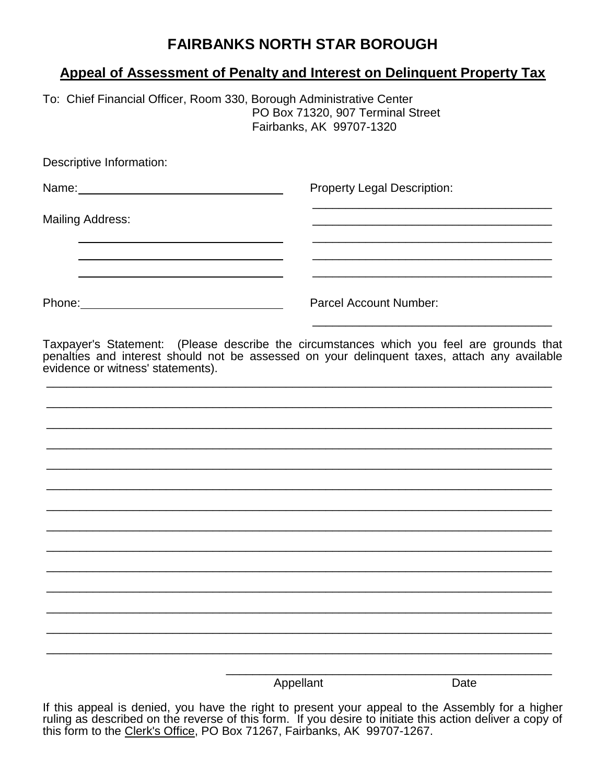# **FAIRBANKS NORTH STAR BOROUGH**

## **Appeal of Assessment of Penalty and Interest on Delinquent Property Tax**

To: Chief Financial Officer, Room 330, Borough Administrative Center PO Box 71320, 907 Terminal Street Fairbanks, AK 99707-1320

Descriptive Information:

Name: Name: Name: Property Legal Description: \_\_\_\_\_\_\_\_\_\_\_\_\_\_\_\_\_\_\_\_\_\_\_\_\_\_\_\_\_\_\_\_\_\_\_\_ Mailing Address: \_\_\_\_\_\_\_\_\_\_\_\_\_\_\_\_\_\_\_\_\_\_\_\_\_\_\_\_\_\_\_\_\_\_\_\_ \_\_\_\_\_\_\_\_\_\_\_\_\_\_\_\_\_\_\_\_\_\_\_\_\_\_\_\_\_\_\_\_\_\_\_\_ \_\_\_\_\_\_\_\_\_\_\_\_\_\_\_\_\_\_\_\_\_\_\_\_\_\_\_\_\_\_\_\_\_\_\_\_ Phone: Phone: Phone: Parcel Account Number:

Taxpayer's Statement: (Please describe the circumstances which you feel are grounds that penalties and interest should not be assessed on your delinquent taxes, attach any available evidence or witness' statements).

\_\_\_\_\_\_\_\_\_\_\_\_\_\_\_\_\_\_\_\_\_\_\_\_\_\_\_\_\_\_\_\_\_\_\_\_\_\_\_\_\_\_\_\_\_\_\_\_\_\_\_\_\_\_\_\_\_\_\_\_\_\_\_\_\_\_\_\_\_\_\_\_\_\_\_\_

\_\_\_\_\_\_\_\_\_\_\_\_\_\_\_\_\_\_\_\_\_\_\_\_\_\_\_\_\_\_\_\_\_\_\_\_\_\_\_\_\_\_\_\_\_\_\_\_\_\_\_\_\_\_\_\_\_\_\_\_\_\_\_\_\_\_\_\_\_\_\_\_\_\_\_\_

\_\_\_\_\_\_\_\_\_\_\_\_\_\_\_\_\_\_\_\_\_\_\_\_\_\_\_\_\_\_\_\_\_\_\_\_\_\_\_\_\_\_\_\_\_\_\_\_\_\_\_\_\_\_\_\_\_\_\_\_\_\_\_\_\_\_\_\_\_\_\_\_\_\_\_\_

\_\_\_\_\_\_\_\_\_\_\_\_\_\_\_\_\_\_\_\_\_\_\_\_\_\_\_\_\_\_\_\_\_\_\_\_\_\_\_\_\_\_\_\_\_\_\_\_\_\_\_\_\_\_\_\_\_\_\_\_\_\_\_\_\_\_\_\_\_\_\_\_\_\_\_\_

\_\_\_\_\_\_\_\_\_\_\_\_\_\_\_\_\_\_\_\_\_\_\_\_\_\_\_\_\_\_\_\_\_\_\_\_\_\_\_\_\_\_\_\_\_\_\_\_\_\_\_\_\_\_\_\_\_\_\_\_\_\_\_\_\_\_\_\_\_\_\_\_\_\_\_\_

\_\_\_\_\_\_\_\_\_\_\_\_\_\_\_\_\_\_\_\_\_\_\_\_\_\_\_\_\_\_\_\_\_\_\_\_\_\_\_\_\_\_\_\_\_\_\_\_\_\_\_\_\_\_\_\_\_\_\_\_\_\_\_\_\_\_\_\_\_\_\_\_\_\_\_\_

\_\_\_\_\_\_\_\_\_\_\_\_\_\_\_\_\_\_\_\_\_\_\_\_\_\_\_\_\_\_\_\_\_\_\_\_\_\_\_\_\_\_\_\_\_\_\_\_\_\_\_\_\_\_\_\_\_\_\_\_\_\_\_\_\_\_\_\_\_\_\_\_\_\_\_\_

\_\_\_\_\_\_\_\_\_\_\_\_\_\_\_\_\_\_\_\_\_\_\_\_\_\_\_\_\_\_\_\_\_\_\_\_\_\_\_\_\_\_\_\_\_\_\_\_\_\_\_\_\_\_\_\_\_\_\_\_\_\_\_\_\_\_\_\_\_\_\_\_\_\_\_\_

\_\_\_\_\_\_\_\_\_\_\_\_\_\_\_\_\_\_\_\_\_\_\_\_\_\_\_\_\_\_\_\_\_\_\_\_\_\_\_\_\_\_\_\_\_\_\_\_\_\_\_\_\_\_\_\_\_\_\_\_\_\_\_\_\_\_\_\_\_\_\_\_\_\_\_\_

\_\_\_\_\_\_\_\_\_\_\_\_\_\_\_\_\_\_\_\_\_\_\_\_\_\_\_\_\_\_\_\_\_\_\_\_\_\_\_\_\_\_\_\_\_\_\_\_\_\_\_\_\_\_\_\_\_\_\_\_\_\_\_\_\_\_\_\_\_\_\_\_\_\_\_\_

\_\_\_\_\_\_\_\_\_\_\_\_\_\_\_\_\_\_\_\_\_\_\_\_\_\_\_\_\_\_\_\_\_\_\_\_\_\_\_\_\_\_\_\_\_\_\_\_\_\_\_\_\_\_\_\_\_\_\_\_\_\_\_\_\_\_\_\_\_\_\_\_\_\_\_\_

\_\_\_\_\_\_\_\_\_\_\_\_\_\_\_\_\_\_\_\_\_\_\_\_\_\_\_\_\_\_\_\_\_\_\_\_\_\_\_\_\_\_\_\_\_\_\_\_\_\_\_\_\_\_\_\_\_\_\_\_\_\_\_\_\_\_\_\_\_\_\_\_\_\_\_\_

\_\_\_\_\_\_\_\_\_\_\_\_\_\_\_\_\_\_\_\_\_\_\_\_\_\_\_\_\_\_\_\_\_\_\_\_\_\_\_\_\_\_\_\_\_\_\_\_\_\_\_\_\_\_\_\_\_\_\_\_\_\_\_\_\_\_\_\_\_\_\_\_\_\_\_\_

\_\_\_\_\_\_\_\_\_\_\_\_\_\_\_\_\_\_\_\_\_\_\_\_\_\_\_\_\_\_\_\_\_\_\_\_\_\_\_\_\_\_\_\_\_\_\_\_\_\_\_\_\_\_\_\_\_\_\_\_\_\_\_\_\_\_\_\_\_\_\_\_\_\_\_\_

Appellant Date

\_\_\_\_\_\_\_\_\_\_\_\_\_\_\_\_\_\_\_\_\_\_\_\_\_\_\_\_\_\_\_\_\_\_\_\_\_\_\_\_\_\_\_\_\_\_\_\_\_

\_\_\_\_\_\_\_\_\_\_\_\_\_\_\_\_\_\_\_\_\_\_\_\_\_\_\_\_\_\_\_\_\_\_\_\_

If this appeal is denied, you have the right to present your appeal to the Assembly for a higher ruling as described on the reverse of this form. If you desire to initiate this action deliver a copy of this form to the Clerk's Office, PO Box 71267, Fairbanks, AK99707-1267.